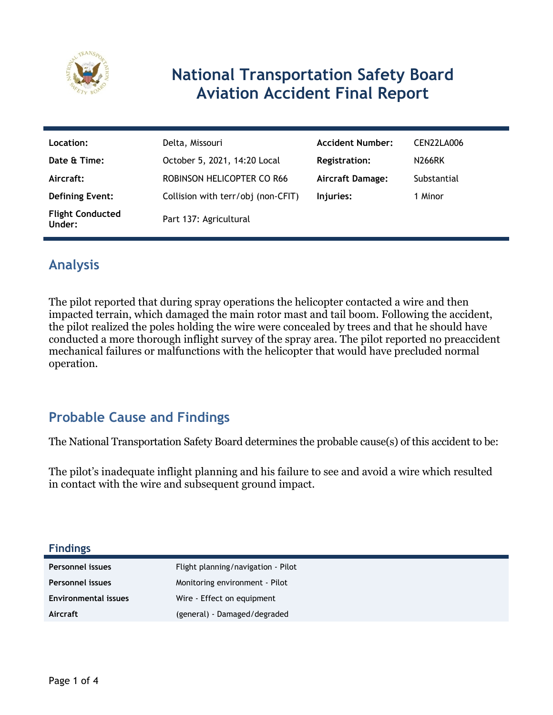

## **National Transportation Safety Board Aviation Accident Final Report**

| Location:                         | Delta, Missouri                    | <b>Accident Number:</b> | CEN22LA006  |
|-----------------------------------|------------------------------------|-------------------------|-------------|
| Date & Time:                      | October 5, 2021, 14:20 Local       | Registration:           | N266RK      |
| Aircraft:                         | ROBINSON HELICOPTER CO R66         | <b>Aircraft Damage:</b> | Substantial |
| <b>Defining Event:</b>            | Collision with terr/obj (non-CFIT) | Injuries:               | 1 Minor     |
| <b>Flight Conducted</b><br>Under: | Part 137: Agricultural             |                         |             |

## **Analysis**

The pilot reported that during spray operations the helicopter contacted a wire and then impacted terrain, which damaged the main rotor mast and tail boom. Following the accident, the pilot realized the poles holding the wire were concealed by trees and that he should have conducted a more thorough inflight survey of the spray area. The pilot reported no preaccident mechanical failures or malfunctions with the helicopter that would have precluded normal operation.

## **Probable Cause and Findings**

The National Transportation Safety Board determines the probable cause(s) of this accident to be:

The pilot's inadequate inflight planning and his failure to see and avoid a wire which resulted in contact with the wire and subsequent ground impact.

| <b>Findings</b>             |                                    |
|-----------------------------|------------------------------------|
| Personnel issues            | Flight planning/navigation - Pilot |
| Personnel issues            | Monitoring environment - Pilot     |
| <b>Environmental issues</b> | Wire - Effect on equipment         |
| Aircraft                    | (general) - Damaged/degraded       |
|                             |                                    |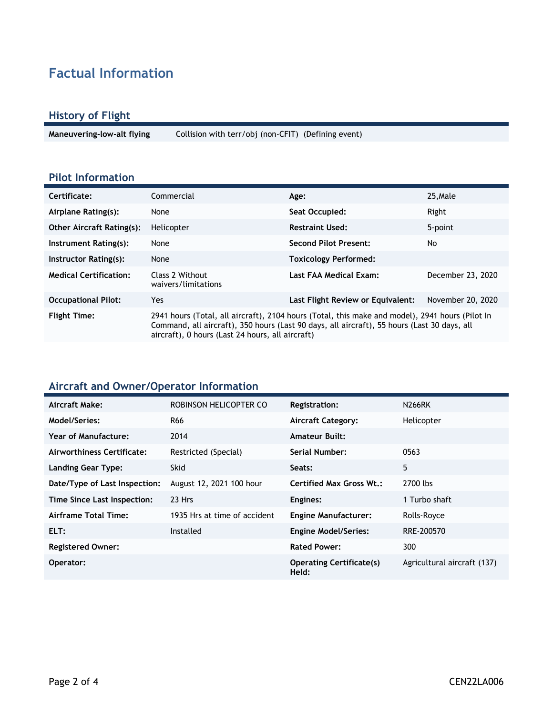## **Factual Information**

#### **History of Flight**

**Maneuvering-low-alt flying** Collision with terr/obj (non-CFIT) (Defining event)

#### **Pilot Information**

| Certificate:                     | Commercial                                                                                                                                                                                                                                         | Age:                              | 25, Male          |
|----------------------------------|----------------------------------------------------------------------------------------------------------------------------------------------------------------------------------------------------------------------------------------------------|-----------------------------------|-------------------|
| Airplane Rating(s):              | None                                                                                                                                                                                                                                               | Seat Occupied:                    | Right             |
| <b>Other Aircraft Rating(s):</b> | Helicopter                                                                                                                                                                                                                                         | <b>Restraint Used:</b>            | 5-point           |
| Instrument Rating(s):            | None                                                                                                                                                                                                                                               | <b>Second Pilot Present:</b>      | No                |
| Instructor Rating(s):            | None                                                                                                                                                                                                                                               | <b>Toxicology Performed:</b>      |                   |
| <b>Medical Certification:</b>    | Class 2 Without<br>waivers/limitations                                                                                                                                                                                                             | Last FAA Medical Exam:            | December 23, 2020 |
| <b>Occupational Pilot:</b>       | Yes                                                                                                                                                                                                                                                | Last Flight Review or Equivalent: | November 20, 2020 |
| <b>Flight Time:</b>              | 2941 hours (Total, all aircraft), 2104 hours (Total, this make and model), 2941 hours (Pilot In<br>Command, all aircraft), 350 hours (Last 90 days, all aircraft), 55 hours (Last 30 days, all<br>aircraft), 0 hours (Last 24 hours, all aircraft) |                                   |                   |

#### **Aircraft and Owner/Operator Information**

| Aircraft Make:                | ROBINSON HELICOPTER CO       | Registration:                            | <b>N266RK</b>               |
|-------------------------------|------------------------------|------------------------------------------|-----------------------------|
| <b>Model/Series:</b>          | R66                          | <b>Aircraft Category:</b>                | Helicopter                  |
| <b>Year of Manufacture:</b>   | 2014                         | <b>Amateur Built:</b>                    |                             |
| Airworthiness Certificate:    | Restricted (Special)         | Serial Number:                           | 0563                        |
| <b>Landing Gear Type:</b>     | <b>Skid</b>                  | Seats:                                   | 5                           |
| Date/Type of Last Inspection: | August 12, 2021 100 hour     | <b>Certified Max Gross Wt.:</b>          | 2700 lbs                    |
| Time Since Last Inspection:   | 23 Hrs                       | Engines:                                 | 1 Turbo shaft               |
| Airframe Total Time:          | 1935 Hrs at time of accident | <b>Engine Manufacturer:</b>              | Rolls-Royce                 |
| ELT:                          | Installed                    | <b>Engine Model/Series:</b>              | RRE-200570                  |
| <b>Registered Owner:</b>      |                              | <b>Rated Power:</b>                      | 300                         |
| Operator:                     |                              | <b>Operating Certificate(s)</b><br>Held: | Agricultural aircraft (137) |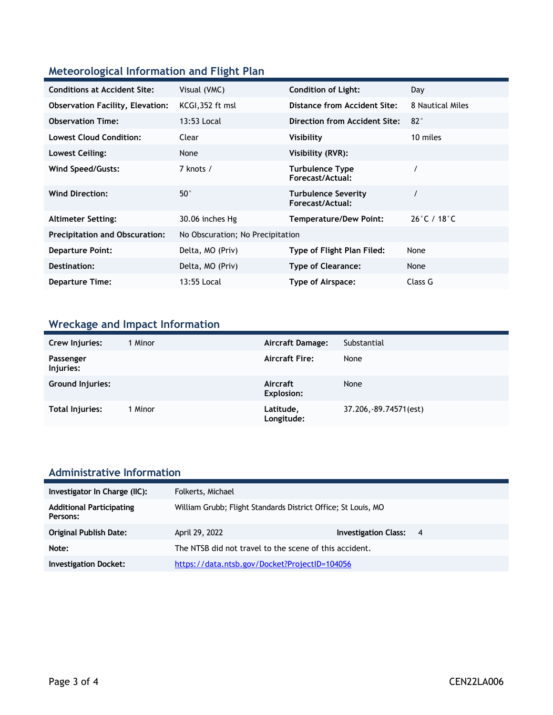### **Meteorological Information and Flight Plan**

| <b>Conditions at Accident Site:</b>     | Visual (VMC)                     | <b>Condition of Light:</b>                     | Day                              |
|-----------------------------------------|----------------------------------|------------------------------------------------|----------------------------------|
| <b>Observation Facility, Elevation:</b> | KCGI, 352 ft msl                 | Distance from Accident Site:                   | 8 Nautical Miles                 |
| <b>Observation Time:</b>                | 13:53 Local                      | <b>Direction from Accident Site:</b>           | 82°                              |
| <b>Lowest Cloud Condition:</b>          | Clear                            | Visibility                                     | 10 miles                         |
| Lowest Ceiling:                         | None                             | Visibility (RVR):                              |                                  |
| Wind Speed/Gusts:                       | 7 knots /                        | <b>Turbulence Type</b><br>Forecast/Actual:     |                                  |
| <b>Wind Direction:</b>                  | $50^{\circ}$                     | <b>Turbulence Severity</b><br>Forecast/Actual: |                                  |
| <b>Altimeter Setting:</b>               | 30.06 inches Hg                  | <b>Temperature/Dew Point:</b>                  | $26^{\circ}$ C / 18 $^{\circ}$ C |
| <b>Precipitation and Obscuration:</b>   | No Obscuration; No Precipitation |                                                |                                  |
| <b>Departure Point:</b>                 | Delta, MO (Priv)                 | Type of Flight Plan Filed:                     | None                             |
| Destination:                            | Delta, MO (Priv)                 | <b>Type of Clearance:</b>                      | None                             |
| <b>Departure Time:</b>                  | 13:55 Local                      | Type of Airspace:                              | Class G                          |

## **Wreckage and Impact Information**

| Crew Injuries:         | 1 Minor | Aircraft Damage:              | Substantial            |
|------------------------|---------|-------------------------------|------------------------|
| Passenger<br>Injuries: |         | <b>Aircraft Fire:</b>         | None                   |
| Ground Injuries:       |         | Aircraft<br><b>Explosion:</b> | None                   |
| Total Injuries:        | 1 Minor | Latitude,<br>Longitude:       | 37.206, -89.74571(est) |

# **Administrative Information**

| Investigator In Charge (IIC):               | Folkerts, Michael                                             |                               |  |
|---------------------------------------------|---------------------------------------------------------------|-------------------------------|--|
| <b>Additional Participating</b><br>Persons: | William Grubb; Flight Standards District Office; St Louis, MO |                               |  |
| <b>Original Publish Date:</b>               | April 29, 2022                                                | <b>Investigation Class: 4</b> |  |
| Note:                                       | The NTSB did not travel to the scene of this accident.        |                               |  |
| <b>Investigation Docket:</b>                | https://data.ntsb.gov/Docket?ProjectID=104056                 |                               |  |